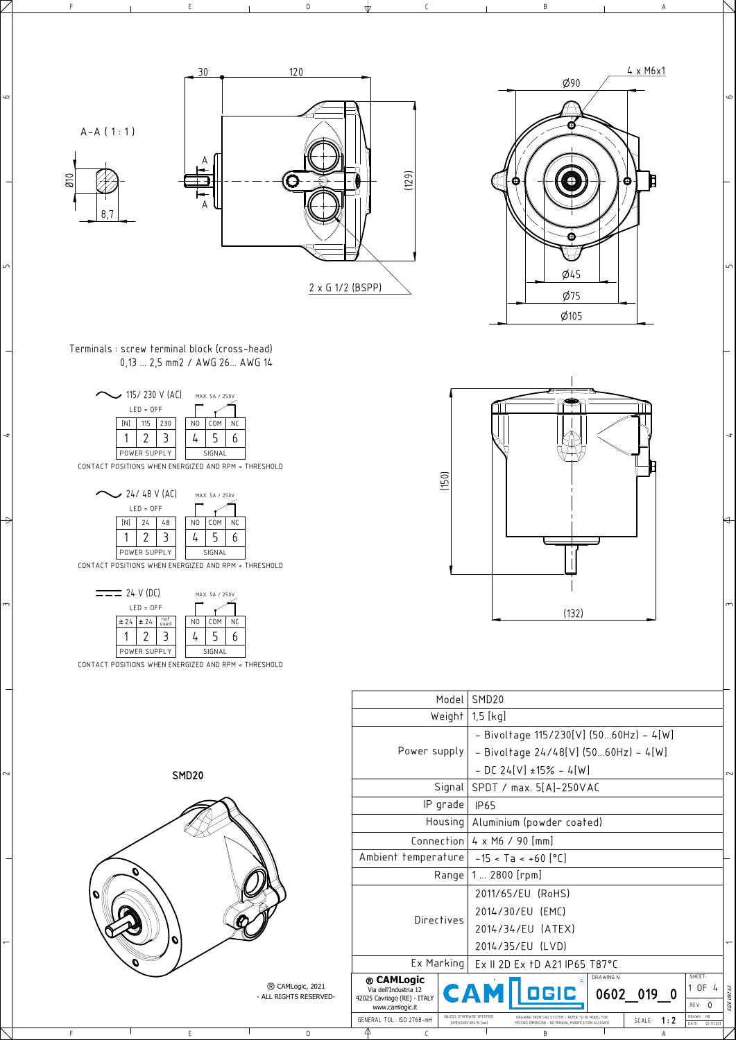SMD20

 $\overline{\phantom{a}}$ 

 $\sim$ 

 $\frac{1}{3}$ 

 $\overline{a}$ 

 $\Rightarrow$ 

 $\mathrel{\mathsf{m}}$ 

 $\frac{1}{\sqrt{2}}$ 

F E D C B A

6

 $\sim$ 

 $\forall$ 

 $\overline{a}$ 



|     |                        |                                                | Model            | SMD <sub>20</sub>                                   |                                                                                                       |            |              |   |                                          |                          |
|-----|------------------------|------------------------------------------------|------------------|-----------------------------------------------------|-------------------------------------------------------------------------------------------------------|------------|--------------|---|------------------------------------------|--------------------------|
|     |                        |                                                | Weight           | $1,5$ [kg]                                          |                                                                                                       |            |              |   |                                          |                          |
|     |                        |                                                |                  |                                                     | - Bivoltage $115/230[V]$ (5060Hz) - 4[W]                                                              |            |              |   |                                          |                          |
|     |                        | Power supply                                   |                  |                                                     | - Bivoltage $24/48[V]$ (5060Hz) - 4[W]                                                                |            |              |   |                                          |                          |
| )20 |                        |                                                |                  |                                                     | $-$ DC 24[V] ±15% $-$ 4[W]                                                                            |            |              |   |                                          | $\sim$                   |
|     |                        |                                                | Signal           |                                                     | SPDT / max. 5[A]-250VAC                                                                               |            |              |   |                                          |                          |
|     |                        |                                                | IP grade         | <b>IP65</b>                                         |                                                                                                       |            |              |   |                                          |                          |
|     |                        |                                                | Housing          |                                                     | Aluminium (powder coated)                                                                             |            |              |   |                                          |                          |
|     |                        |                                                |                  |                                                     | Connection $4 \times M6 / 90$ [mm]                                                                    |            |              |   |                                          |                          |
|     |                        | Ambient temperature $-15 < T_a < +60$ [°C]     |                  |                                                     |                                                                                                       |            |              |   |                                          |                          |
|     |                        |                                                | Range            | $1 2800$ [rpm]                                      |                                                                                                       |            |              |   |                                          |                          |
|     |                        |                                                |                  |                                                     | 2011/65/EU (RoHS)                                                                                     |            |              |   |                                          |                          |
|     |                        |                                                | Directives       |                                                     | 2014/30/EU (EMC)                                                                                      |            |              |   |                                          |                          |
|     |                        |                                                |                  |                                                     | 2014/34/EU (ATEX)                                                                                     |            |              |   |                                          |                          |
|     |                        |                                                |                  |                                                     | 2014/35/EU (LVD)                                                                                      |            |              |   |                                          | $\overline{\phantom{0}}$ |
|     |                        |                                                | $Ex$ Marking $ $ |                                                     | Ex II 2D Ex 1D A21 IP65 T87°C                                                                         |            |              |   |                                          |                          |
|     | ® CAMLogic, 2021       | ® CAMLogic<br>Via dell'Industria 12            |                  | CAM                                                 | (R)                                                                                                   | DRAWING N. |              |   | SHEET:<br>1 OF<br>$\frac{1}{2}$          |                          |
|     | - ALL RIGHTS RESERVED- | 42025 Cavriago (RE) - ITALY<br>www.camlogic.it |                  |                                                     |                                                                                                       |            | 0602 019 0   |   | REV: 0                                   | SIZE UNI A3              |
|     |                        | GENERAL TOL.: ISO 2768-mH                      |                  | UNLESS OTHERWISE SPECIFIED<br>DIMENSION ARE IN [mm] | DRAWING FROM CAD SYSTEM - REFER TO 3D MODEL FOR<br>MISSING DIMENSION - NO MANUAL MODIFICATION ALLOWED |            | SCALE: $1:2$ |   | DRAWN<br><b>NR</b><br>DATE<br>02.11.2021 |                          |
|     | D                      | 4<br>C                                         |                  |                                                     | B                                                                                                     |            |              | A |                                          |                          |

| $\sim$ 115/230 V (AC) |              |     | MAX 5A / 250V  |                  |    |  |
|-----------------------|--------------|-----|----------------|------------------|----|--|
|                       | $LED = OFF$  |     |                |                  |    |  |
| [N]                   | 115          | 230 | N <sub>0</sub> | C <sub>O</sub> M | Νſ |  |
|                       |              |     |                |                  | ĥ  |  |
|                       | POWER SUPPLY |     |                | SIGNAL           |    |  |

CONTACT POSITIONS WHEN ENERGIZED AND RPM < THRESHOLD

| $\sim$ 24/48 V (AC) |     |              |    | MAX. 5A / 250V |                |            |           |
|---------------------|-----|--------------|----|----------------|----------------|------------|-----------|
| $LED = OFF$         |     |              |    |                |                |            |           |
|                     | [N] | 24           | 48 |                | N <sub>0</sub> | <b>COM</b> | <b>NC</b> |
|                     |     |              |    |                |                |            |           |
|                     |     | POWER SUPPLY |    |                |                | SIGNAL     |           |

CONTACT POSITIONS WHEN ENERGIZED AND RPM < THRESHOLD



| 24 V (DC)   |                   |              |             |  | MAX. 5A / 250V |        |           |  |  |
|-------------|-------------------|--------------|-------------|--|----------------|--------|-----------|--|--|
| $LED = OFF$ |                   |              |             |  |                |        |           |  |  |
|             | $\pm 24$ $\pm 24$ |              | not<br>used |  | N <sub>0</sub> | COM    | <b>NC</b> |  |  |
|             |                   |              |             |  |                |        |           |  |  |
|             |                   | POWER SUPPLY |             |  |                | SIGNAL |           |  |  |

CONTACT POSITIONS WHEN ENERGIZED AND RPM < THRESHOLD

Terminals : screw terminal block (cross-head) 0,13 ... 2,5 mm2 / AWG 26... AWG 14



 $\overline{5}$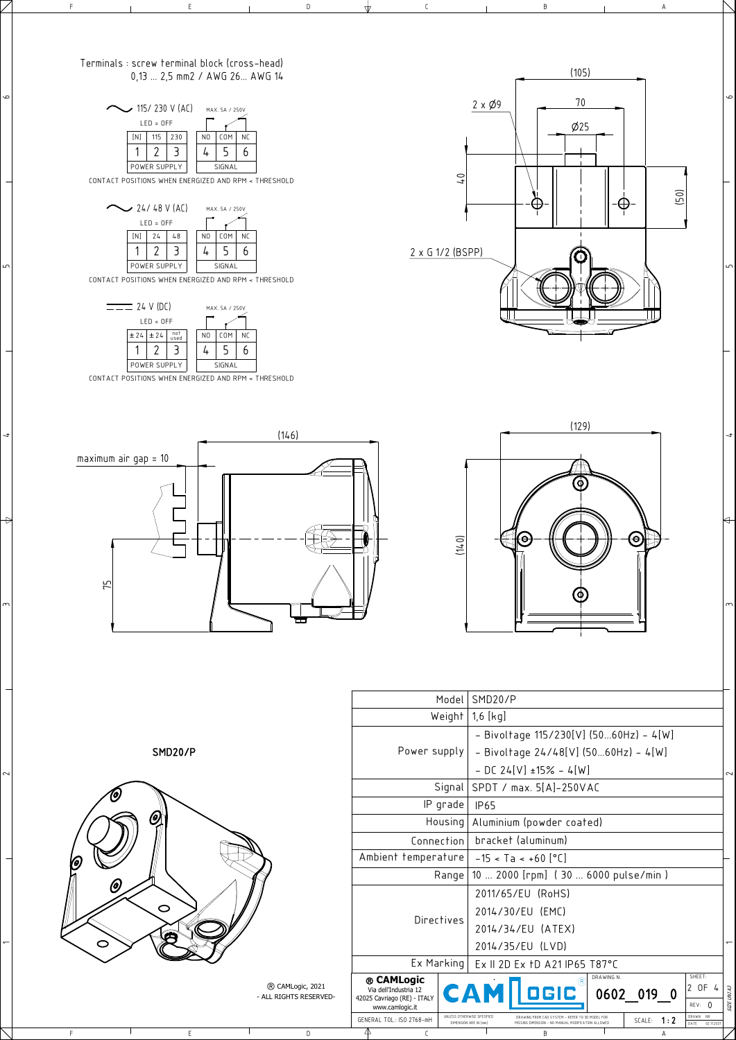SMD20/P

 $\overline{\phantom{a}}$ 

 $\sim$ 

 $\frac{1}{3}$ 

 $\overline{ }$ 

 $\Rightarrow$ 

 $\mathsf{m}$ 

 $\mathbf{\infty}$ 

 $\sqrt{2}$ 

 $\overline{\phantom{0}}$ 

F E D C B A



|   |                        |                                                | Model             | SMD20/P                                             |                                                 |            |            |     |                                         |               |
|---|------------------------|------------------------------------------------|-------------------|-----------------------------------------------------|-------------------------------------------------|------------|------------|-----|-----------------------------------------|---------------|
|   |                        |                                                | Weight            | $1,6$ [kg]                                          |                                                 |            |            |     |                                         |               |
|   |                        |                                                |                   | - Bivoltage $115/230[V]$ (5060Hz) - 4[W]            |                                                 |            |            |     |                                         |               |
| P |                        |                                                | Power supply      |                                                     | - Bivoltage $24/48[V]$ (5060Hz) - 4[W]          |            |            |     |                                         |               |
|   |                        |                                                |                   |                                                     | $-$ DC 24[V] ±15% - 4[W]                        |            |            |     |                                         | 2             |
|   |                        |                                                | Signal            |                                                     | SPDT / max. 5[A]-250VAC                         |            |            |     |                                         |               |
|   |                        |                                                | IP grade          | <b>IP65</b>                                         |                                                 |            |            |     |                                         |               |
|   |                        |                                                | Housing           |                                                     | Aluminium (powder coated)                       |            |            |     |                                         |               |
|   |                        |                                                | Connection        | bracket (aluminum)                                  |                                                 |            |            |     |                                         |               |
|   |                        |                                                |                   | Ambient temperature $-15 < T_a < +60$ [°C]          |                                                 |            |            |     |                                         |               |
|   |                        | Range                                          |                   | 10  2000 [rpm] (30  6000 pulse/min)                 |                                                 |            |            |     |                                         |               |
|   |                        |                                                |                   |                                                     | 2011/65/EU (RoHS)                               |            |            |     |                                         |               |
|   |                        |                                                | <b>Directives</b> |                                                     | 2014/30/EU (EMC)                                |            |            |     |                                         |               |
|   |                        |                                                |                   |                                                     | 2014/34/EU (ATEX)                               |            |            |     |                                         |               |
|   |                        |                                                |                   |                                                     | 2014/35/EU (LVD)                                |            |            |     |                                         |               |
|   |                        |                                                | $Ex$ Marking      |                                                     | Ex II 2D Ex 1D A21 IP65 T87°C                   |            |            |     |                                         |               |
|   | ® CAMLogic, 2021       | ® CAMLogic<br>Via dell'Industria 12            |                   |                                                     | (R)<br><b>CAM   OGIC</b>                        | DRAWING N. |            |     | SHEET:<br>2 OF<br>$\frac{1}{4}$         |               |
|   | - ALL RIGHTS RESERVED- | 42025 Cavriago (RE) - ITALY<br>www.camlogic.it |                   |                                                     |                                                 |            | 0602 019 0 |     | REV: 0                                  | UNIA3<br>SIZE |
|   |                        | GENERAL TOL.: ISO 2768-mH                      |                   | UNLESS OTHERWISE SPECIFIED<br>DIMENSION ARE IN [mm] | DRAWING FROM CAD SYSTEM - REFER TO 3D MODEL FOR |            | SCALE:     | 1:2 | DRAWN<br><b>NR</b><br>02.11.202<br>DATE |               |
|   | D                      | 4                                              | C                 |                                                     | B                                               |            |            | Α   |                                         |               |

| $\sim$ 115/230 V (AC)<br>MAX. 5A / 250V |                   |              |  |  |                |                         |  |  |
|-----------------------------------------|-------------------|--------------|--|--|----------------|-------------------------|--|--|
| $LED = OFF$                             |                   |              |  |  |                |                         |  |  |
|                                         | [N]<br>230<br>115 |              |  |  | N <sub>0</sub> | <b>COM</b><br><b>NC</b> |  |  |
|                                         |                   |              |  |  |                |                         |  |  |
|                                         |                   | POWER SUPPLY |  |  |                | SIGNAL                  |  |  |

CONTACT POSITIONS WHEN ENERGIZED AND RPM < THRESHOLD



CONTACT POSITIONS WHEN ENERGIZED AND RPM < THRESHOLD



CONTACT POSITIONS WHEN ENERGIZED AND RPM < THRESHOLD

## Terminals : screw terminal block (cross-head) 0,13 ... 2,5 mm2 / AWG 26... AWG 14







 $\overline{5}$ 

 $\mathbf{\infty}$ 

 $\sim$ 

∖←

 $\overline{a}$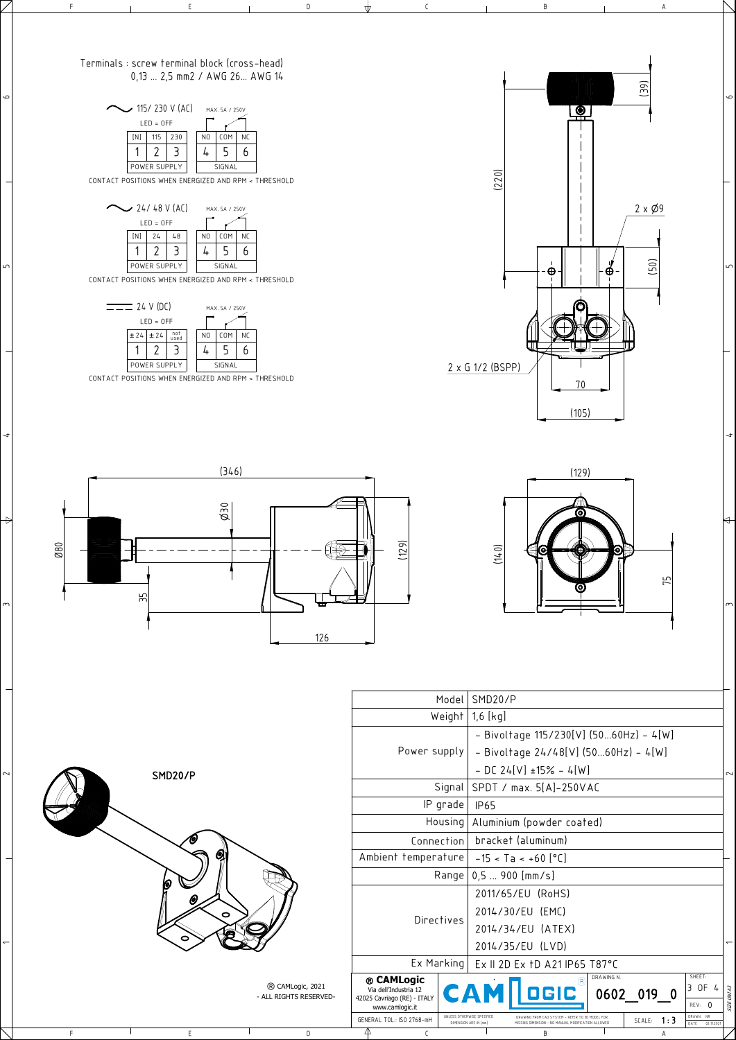SMD20/P

F E D C B A

6

| Model   SMD20/P                                       |        |
|-------------------------------------------------------|--------|
| Weight $\vert$ 1,6 $\vert$ kg $\vert$                 |        |
| - Bivoltage $115/230[V]$ (5060Hz) - 4[W]              |        |
| Power supply $  -$ Bivoltage 24/48[V] (5060Hz) - 4[W] |        |
| $-$ DC 24[V] ±15% - 4[W]                              | $\sim$ |
|                                                       |        |

 $\overline{\phantom{a}}$ 

 $\scriptstyle\sim$ 

 $\frac{1}{3}$ 

 $\overline{ }$ 

 $\Rightarrow$ 

 $\mathsf{m}$ 

 $\overline{5}$ 





|             | $\sim$ 115/230 V (AC) | MAX. 5A / 250V |  |  |                |                  |  |
|-------------|-----------------------|----------------|--|--|----------------|------------------|--|
| $LED = OFF$ |                       |                |  |  |                |                  |  |
|             | [N]<br>230<br>115     |                |  |  | N <sub>0</sub> | <b>COM</b><br>ΝC |  |
|             |                       |                |  |  |                |                  |  |
|             |                       | POWER SUPPLY   |  |  |                | SIGNAL           |  |

CONTACT POSITIONS WHEN ENERGIZED AND RPM < THRESHOLD

| $\sim$ 24/48 V (AC) |     |              |    |                | MAX. 5A / 250V |    |
|---------------------|-----|--------------|----|----------------|----------------|----|
| $LED = OFF$         |     |              |    |                |                |    |
|                     | [N] | 74           | 48 | N <sub>0</sub> | <b>COM</b>     | NC |
|                     |     |              |    |                |                | h  |
|                     |     | POWER SUPPLY |    |                | SIGNAL         |    |

CONTACT POSITIONS WHEN ENERGIZED AND RPM < THRESHOLD



CONTACT POSITIONS WHEN ENERGIZED AND RPM < THRESHOLD

## Terminals : screw terminal block (cross-head) 0,13 ... 2,5 mm2 / AWG 26... AWG 14







 $\overline{5}$ 

 $\circ$ 

 $\sim$ 

 $\leftrightarrow$ 

 $\overline{a}$